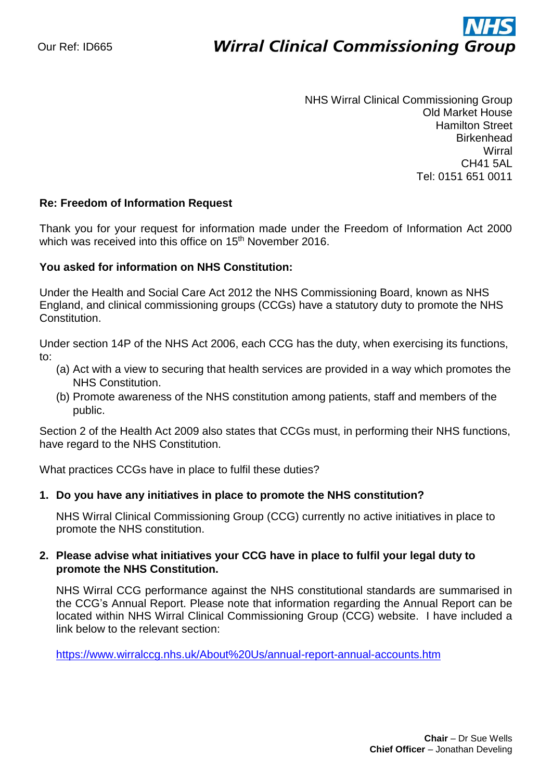# ì **Wirral Clinical Commissioning Group**

NHS Wirral Clinical Commissioning Group Old Market House Hamilton Street **Birkenhead Wirral** CH41 5AL Tel: 0151 651 0011

### **Re: Freedom of Information Request**

Thank you for your request for information made under the Freedom of Information Act 2000 which was received into this office on 15<sup>th</sup> November 2016.

#### **You asked for information on NHS Constitution:**

Under the Health and Social Care Act 2012 the NHS Commissioning Board, known as NHS England, and clinical commissioning groups (CCGs) have a statutory duty to promote the NHS Constitution.

Under section 14P of the NHS Act 2006, each CCG has the duty, when exercising its functions, to:

- (a) Act with a view to securing that health services are provided in a way which promotes the NHS Constitution.
- (b) Promote awareness of the NHS constitution among patients, staff and members of the public.

Section 2 of the Health Act 2009 also states that CCGs must, in performing their NHS functions, have regard to the NHS Constitution.

What practices CCGs have in place to fulfil these duties?

#### **1. Do you have any initiatives in place to promote the NHS constitution?**

NHS Wirral Clinical Commissioning Group (CCG) currently no active initiatives in place to promote the NHS constitution.

### **2. Please advise what initiatives your CCG have in place to fulfil your legal duty to promote the NHS Constitution.**

NHS Wirral CCG performance against the NHS constitutional standards are summarised in the CCG's Annual Report. Please note that information regarding the Annual Report can be located within NHS Wirral Clinical Commissioning Group (CCG) website. I have included a link below to the relevant section:

<https://www.wirralccg.nhs.uk/About%20Us/annual-report-annual-accounts.htm>